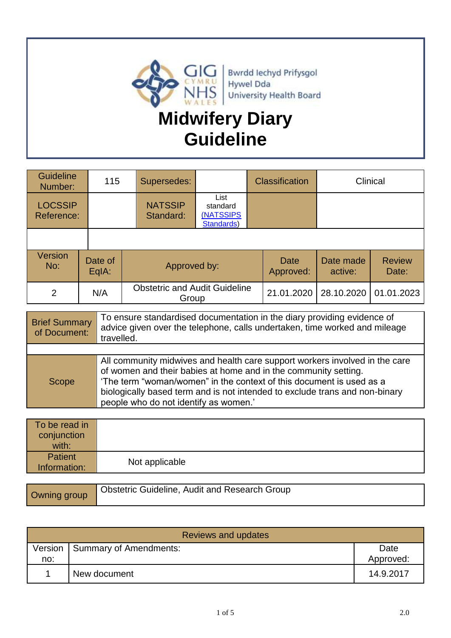

#### **Guideline** Universitie 115 Supersedes: Classification Clinical **LOCSSIP** Reference: **NATSSIP** Standard: List standar[d](http://howis.wales.nhs.uk/sitesplus/862/opendoc/477900) [\(NATSSIPS](http://howis.wales.nhs.uk/sitesplus/862/opendoc/477900)  [Standards\)](http://howis.wales.nhs.uk/sitesplus/862/opendoc/477900) **Version**  $\begin{array}{c|c}\n\hline\n\text{N}_0: \text{Data} & \text{Date of} \\
\hline\n\text{E}_0 \text{IA}: & \text{E}_1 \text{IA} \\
\hline\n\end{array}$ Approved by: Date Approved: Date made active: Review Date: 2 N/A Obstetric and Audit Guideline Group 21.01.2020 28.10.2020 01.01.2023

| <b>Brief Summary</b><br>of Document: | To ensure standardised documentation in the diary providing evidence of<br>advice given over the telephone, calls undertaken, time worked and mileage<br>travelled.                                                                                                                                                                            |
|--------------------------------------|------------------------------------------------------------------------------------------------------------------------------------------------------------------------------------------------------------------------------------------------------------------------------------------------------------------------------------------------|
|                                      |                                                                                                                                                                                                                                                                                                                                                |
| Scope                                | All community midwives and health care support workers involved in the care<br>of women and their babies at home and in the community setting.<br>'The term "woman/women" in the context of this document is used as a<br>biologically based term and is not intended to exclude trans and non-binary<br>people who do not identify as women.' |

| To be read in<br>conjunction<br>with: |                                                      |
|---------------------------------------|------------------------------------------------------|
| <b>Patient</b><br>Information:        | Not applicable                                       |
|                                       |                                                      |
| $\bigcap$                             | <b>Obstetric Guideline, Audit and Research Group</b> |

Owning group

| Reviews and updates |                        |                   |  |  |
|---------------------|------------------------|-------------------|--|--|
| Version<br>no:      | Summary of Amendments: | Date<br>Approved: |  |  |
|                     | New document           | 14.9.2017         |  |  |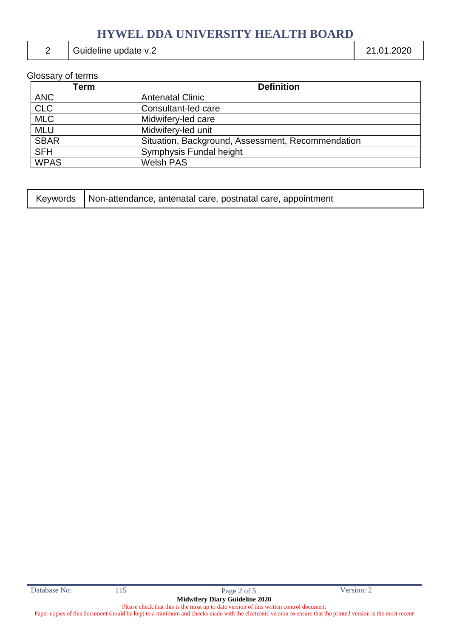### 2 Guideline update v.2 21.01.2020

## Glossary of terms

| Term        | <b>Definition</b>                                 |
|-------------|---------------------------------------------------|
| <b>ANC</b>  | <b>Antenatal Clinic</b>                           |
| <b>CLC</b>  | Consultant-led care                               |
| <b>MLC</b>  | Midwifery-led care                                |
| <b>MLU</b>  | Midwifery-led unit                                |
| <b>SBAR</b> | Situation, Background, Assessment, Recommendation |
| <b>SFH</b>  | Symphysis Fundal height                           |
| <b>WPAS</b> | <b>Welsh PAS</b>                                  |

| Keywords   Non-attendance, antenatal care, postnatal care, appointment |
|------------------------------------------------------------------------|
|------------------------------------------------------------------------|

Paper copies of this document should be kept to a minimum and checks made with the electronic version to ensure that the printed version is the most recent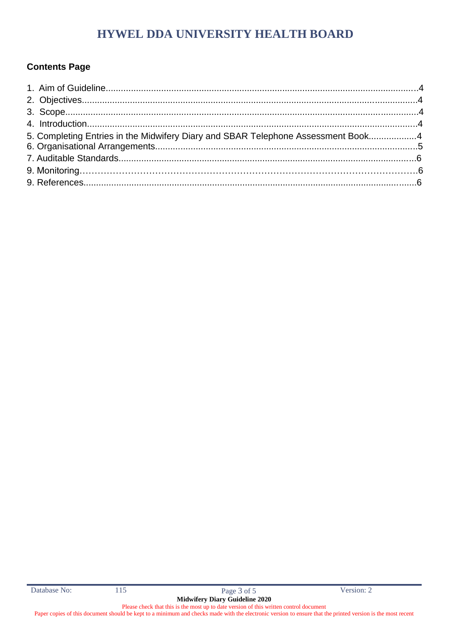### **Contents Page**

| 5. Completing Entries in the Midwifery Diary and SBAR Telephone Assessment Book4 |
|----------------------------------------------------------------------------------|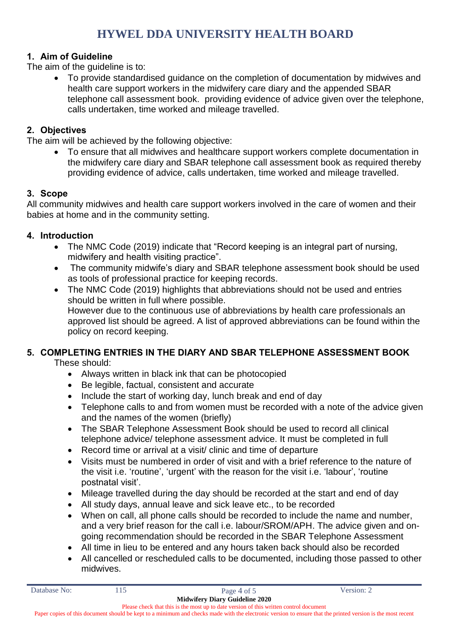### **1. Aim of Guideline**

The aim of the guideline is to:

 To provide standardised guidance on the completion of documentation by midwives and health care support workers in the midwifery care diary and the appended SBAR telephone call assessment book. providing evidence of advice given over the telephone, calls undertaken, time worked and mileage travelled.

#### **2. Objectives**

The aim will be achieved by the following objective:

 To ensure that all midwives and healthcare support workers complete documentation in the midwifery care diary and SBAR telephone call assessment book as required thereby providing evidence of advice, calls undertaken, time worked and mileage travelled.

#### **3. Scope**

All community midwives and health care support workers involved in the care of women and their babies at home and in the community setting.

#### **4. Introduction**

- The NMC Code (2019) indicate that "Record keeping is an integral part of nursing, midwifery and health visiting practice".
- The community midwife's diary and SBAR telephone assessment book should be used as tools of professional practice for keeping records.
- The NMC Code (2019) highlights that abbreviations should not be used and entries should be written in full where possible. However due to the continuous use of abbreviations by health care professionals an approved list should be agreed. A list of approved abbreviations can be found within the policy on record keeping.

### **5. COMPLETING ENTRIES IN THE DIARY AND SBAR TELEPHONE ASSESSMENT BOOK**

These should:

- Always written in black ink that can be photocopied
- Be legible, factual, consistent and accurate
- Include the start of working day, lunch break and end of day
- Telephone calls to and from women must be recorded with a note of the advice given and the names of the women (briefly)
- The SBAR Telephone Assessment Book should be used to record all clinical telephone advice/ telephone assessment advice. It must be completed in full
- Record time or arrival at a visit/ clinic and time of departure
- Visits must be numbered in order of visit and with a brief reference to the nature of the visit i.e. 'routine', 'urgent' with the reason for the visit i.e. 'labour', 'routine postnatal visit'.
- Mileage travelled during the day should be recorded at the start and end of day
- All study days, annual leave and sick leave etc., to be recorded
- When on call, all phone calls should be recorded to include the name and number, and a very brief reason for the call i.e. labour/SROM/APH. The advice given and ongoing recommendation should be recorded in the SBAR Telephone Assessment
- All time in lieu to be entered and any hours taken back should also be recorded
- All cancelled or rescheduled calls to be documented, including those passed to other midwives.